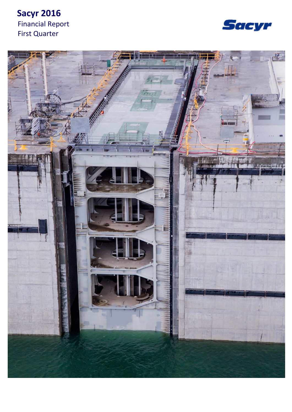# **Sacyr 2016** Financial Report First Quarter



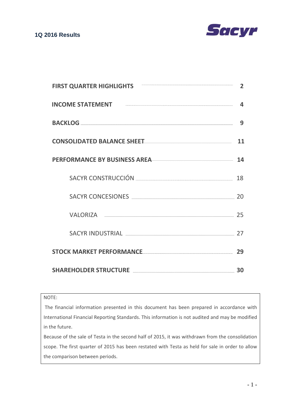

| <b>FIRST QUARTER HIGHLIGHTS</b>                                                                                                                                                                                                | 2  |
|--------------------------------------------------------------------------------------------------------------------------------------------------------------------------------------------------------------------------------|----|
| INCOME STATEMENT <b>And the COME STATEMENT</b>                                                                                                                                                                                 | д  |
|                                                                                                                                                                                                                                | 9  |
| CONSOLIDATED BALANCE SHEET                                                                                                                                                                                                     | 11 |
| PERFORMANCE BY BUSINESS AREA                                                                                                                                                                                                   | 14 |
|                                                                                                                                                                                                                                | 18 |
| SACYR CONCESIONES <b>Example 20</b> 20                                                                                                                                                                                         |    |
| VALORIZA 25                                                                                                                                                                                                                    |    |
| SACYR INDUSTRIAL ENTITLE SACTOR AND THE SACTOR SACTOR IN THE SACTOR OF SACTOR SET OF SACTOR SET OF SACTOR SET OF SACTOR SET OF SACTOR SACTOR SACTOR SACTOR SET OF SACTOR SET OF SACTOR SET OF SACTOR SET OF SACTOR SET OF SACT | 27 |
| STOCK MARKET PERFORMANCE <b>STOCK AND THE REAL PROPERTY ASSESSED</b>                                                                                                                                                           | 29 |
| SHAREHOLDER STRUCTURE <b>Entertainment and SCI SHAREHOLDER</b> 30                                                                                                                                                              |    |

## NOTE:

The financial information presented in this document has been prepared in accordance with International Financial Reporting Standards. This information is not audited and may be modified in the future.

Because of the sale of Testa in the second half of 2015, it was withdrawn from the consolidation scope. The first quarter of 2015 has been restated with Testa as held for sale in order to allow the comparison between periods.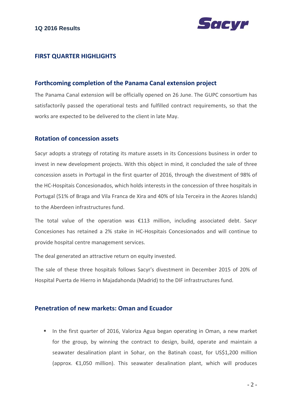

## **FIRST QUARTER HIGHLIGHTS**

## **Forthcoming completion of the Panama Canal extension project**

The Panama Canal extension will be officially opened on 26 June. The GUPC consortium has satisfactorily passed the operational tests and fulfilled contract requirements, so that the works are expected to be delivered to the client in late May.

## **Rotation of concession assets**

Sacyr adopts a strategy of rotating its mature assets in its Concessions business in order to invest in new development projects. With this object in mind, it concluded the sale of three concession assets in Portugal in the first quarter of 2016, through the divestment of 98% of the HC‐Hospitais Concesionados, which holds interests in the concession of three hospitals in Portugal (51% of Braga and Vila Franca de Xira and 40% of Isla Terceira in the Azores Islands) to the Aberdeen infrastructures fund.

The total value of the operation was  $£113$  million, including associated debt. Sacyr Concesiones has retained a 2% stake in HC‐Hospitais Concesionados and will continue to provide hospital centre management services.

The deal generated an attractive return on equity invested.

The sale of these three hospitals follows Sacyr's divestment in December 2015 of 20% of Hospital Puerta de Hierro in Majadahonda (Madrid) to the DIF infrastructures fund.

## **Penetration of new markets: Oman and Ecuador**

In the first quarter of 2016, Valoriza Agua began operating in Oman, a new market for the group, by winning the contract to design, build, operate and maintain a seawater desalination plant in Sohar, on the Batinah coast, for US\$1,200 million (approx. €1,050 million). This seawater desalination plant, which will produces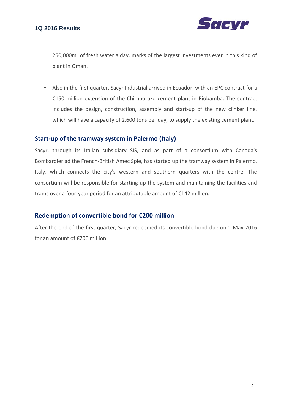

250,000m<sup>3</sup> of fresh water a day, marks of the largest investments ever in this kind of plant in Oman.

 Also in the first quarter, Sacyr Industrial arrived in Ecuador, with an EPC contract for a €150 million extension of the Chimborazo cement plant in Riobamba. The contract includes the design, construction, assembly and start‐up of the new clinker line, which will have a capacity of 2,600 tons per day, to supply the existing cement plant.

## **Start‐up of the tramway system in Palermo (Italy)**

Sacyr, through its Italian subsidiary SIS, and as part of a consortium with Canada's Bombardier ad the French‐British Amec Spie, has started up the tramway system in Palermo, Italy, which connects the city's western and southern quarters with the centre. The consortium will be responsible for starting up the system and maintaining the facilities and trams over a four‐year period for an attributable amount of €142 million.

## **Redemption of convertible bond for €200 million**

After the end of the first quarter, Sacyr redeemed its convertible bond due on 1 May 2016 for an amount of €200 million.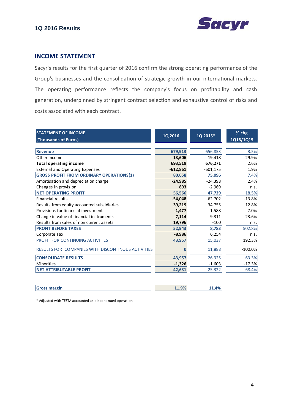



## **INCOME STATEMENT**

Sacyr's results for the first quarter of 2016 confirm the strong operating performance of the Group's businesses and the consolidation of strategic growth in our international markets. The operating performance reflects the company's focus on profitability and cash generation, underpinned by stringent contract selection and exhaustive control of risks and costs associated with each contract.

| <b>STATEMENT OF INCOME</b>                         | 1Q 2016    | 1Q 2015*   | % chg     |
|----------------------------------------------------|------------|------------|-----------|
| (Thousands of Euros)                               |            |            | 1Q16/1Q15 |
| <b>Revenue</b>                                     | 679,913    | 656,853    | 3.5%      |
| Other income                                       | 13,606     | 19,418     | $-29.9%$  |
| <b>Total operating income</b>                      | 693,519    | 676,271    | 2.6%      |
| <b>External and Operating Expenses</b>             | $-612,861$ | $-601,175$ | 1.9%      |
| <b>GROSS PROFIT FROM ORDINARY OPERATIONS(1)</b>    | 80,658     | 75,096     | 7.4%      |
| Amortisation and depreciation charge               | $-24,985$  | $-24,398$  | 2.4%      |
| Changes in provision                               | 893        | $-2,969$   | n.s.      |
| <b>NET OPERATING PROFIT</b>                        | 56,566     | 47,729     | 18.5%     |
| <b>Financial results</b>                           | $-54,048$  | $-62,702$  | $-13.8%$  |
| Results from equity accounted subsidiaries         | 39,219     | 34,755     | 12.8%     |
| Provisions for financial investments               | $-1,477$   | $-1,588$   | $-7.0%$   |
| Change in value of financial instruments           | $-7,114$   | $-9,311$   | $-23.6%$  |
| Results from sales of non current assets           | 19,796     | $-100$     | n.s.      |
| <b>PROFIT BEFORE TAXES</b>                         | 52,943     | 8,783      | 502.8%    |
| Corporate Tax                                      | $-8,986$   | 6,254      | n.s.      |
| PROFIT FOR CONTINUING ACTIVITIES                   | 43,957     | 15,037     | 192.3%    |
| RESULTS FOR COMPANIES WITH DISCONTINOUS ACTIVITIES | 0          | 11,888     | $-100.0%$ |
| <b>CONSOLIDATE RESULTS</b>                         | 43,957     | 26,925     | 63.3%     |
| <b>Minorities</b>                                  | $-1,326$   | $-1,603$   | $-17.3%$  |
| <b>NET ATTRIBUTABLE PROFIT</b>                     | 42,631     | 25,322     | 68.4%     |
|                                                    |            |            |           |
| <b>Gross margin</b>                                | 11.9%      | 11.4%      |           |

\* Adjusted with TESTA accounted as discontinued operation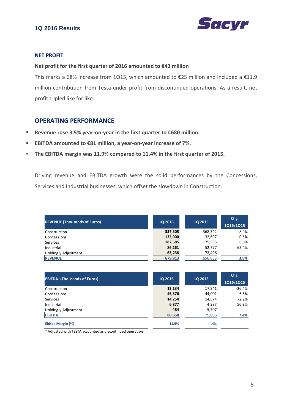



#### **NET PROFIT**

#### **Net profit for the first quarter of 2016 amounted to €43 million**

This marks a 68% increase from 1Q15, which amounted to €25 million and included a €11.9 million contribution from Testa under profit from discontinued operations. As a result, net profit tripled like for like.

## **OPERATING PERFORMANCE**

- **Revenue rose 3.5% year‐on‐year in the first quarter to €680 million.**
- **EBITDA amounted to €81 million, a year‐on‐year increase of 7%.**
- **The EBITDA margin was 11.9% compared to 11.4% in the first quarter of 2015.**

Driving revenue and EBITDA growth were the solid performances by the Concessions, Services and Industrial businesses, which offset the slowdown in Construction.

| <b>REVENUE (Thousands of Euros)</b> | <b>1Q 2016</b> | <b>1Q 2015</b> | Chg<br>1Q16/1Q15 |
|-------------------------------------|----------------|----------------|------------------|
| Construction                        | 337,305        | 368,342        | $-8.4%$          |
| Concessions                         | 132,000        | 132,697        | $-0.5%$          |
| Services                            | 187,585        | 175,533        | 6.9%             |
| Industrial                          | 86,261         | 52,777         | 63.4%            |
| Holding y Adjustment                | $-63,238$      | -72,496        |                  |
| <b>REVENUE</b>                      | 679,913        | 656,853        | 3.5%             |

| <b>EBITDA (Thousands of Euros)</b> | <b>1Q 2016</b> | <b>1Q 2015</b> | Chg<br>1Q16/1Q15 |
|------------------------------------|----------------|----------------|------------------|
| Construction                       | 13,134         | 17,841         | $-26.4%$         |
| Concessions                        | 46,876         | 44,001         | 6.5%             |
| Services                           | 14,254         | 14,574         | $-2.2%$          |
| Industrial                         | 6,877          | 4,387          | 56.8%            |
| Holding y Adjustment               | $-484$         | $-5,707$       |                  |
| <b>EBITDA</b>                      | 80,658         | 75,096         | 7.4%             |
| Ebitda Margin (%)                  | 11.9%          | 11.4%          |                  |

\* Adjusted with TESTA accounted as discontinued operation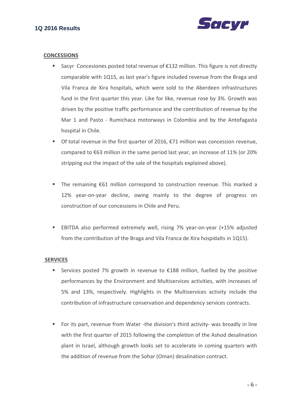

#### **CONCESSIONS**

- Sacyr Concesiones posted total revenue of €132 million. This figure is not directly comparable with 1Q15, as last year's figure included revenue from the Braga and Vila Franca de Xira hospitals, which were sold to the Aberdeen infrastructures fund in the first quarter this year. Like for like, revenue rose by 3%. Growth was driven by the positive traffic performance and the contribution of revenue by the Mar 1 and Pasto - Rumichaca motorways in Colombia and by the Antofagasta hospital in Chile.
- Of total revenue in the first quarter of 2016,  $€71$  million was concession revenue, compared to €63 million in the same period last year, an increase of 11% (or 20% stripping out the impact of the sale of the hospitals explained above).
- The remaining €61 million correspond to construction revenue. This marked a 12% year-on-year decline, owing mainly to the degree of progress on construction of our concessions in Chile and Peru.
- EBITDA also performed extremely well, rising 7% year-on-year (+15% adjusted from the contribution of the Braga and Vila Franca de Xira hospidalts in 1Q15).

#### **SERVICES**

- Services posted 7% growth in revenue to  $\epsilon$ 188 million, fuelled by the positive performances by the Environment and Multiservices activities, with increases of 5% and 13%, respectively. Highlights in the Multiservices activity include the contribution of infrastructure conservation and dependency services contracts.
- For its part, revenue from Water -the division's third activity- was broadly in line with the first quarter of 2015 following the completion of the Ashod desalination plant in Israel, although growth looks set to accelerate in coming quarters with the addition of revenue from the Sohar (Oman) desalination contract.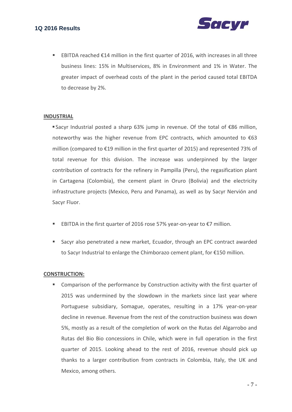

■ EBITDA reached €14 million in the first quarter of 2016, with increases in all three business lines: 15% in Multiservices, 8% in Environment and 1% in Water. The greater impact of overhead costs of the plant in the period caused total EBITDA to decrease by 2%.

#### **INDUSTRIAL**

 Sacyr Industrial posted a sharp 63% jump in revenue. Of the total of €86 million, noteworthy was the higher revenue from EPC contracts, which amounted to  $€63$ million (compared to €19 million in the first quarter of 2015) and represented 73% of total revenue for this division. The increase was underpinned by the larger contribution of contracts for the refinery in Pampilla (Peru), the regasification plant in Cartagena (Colombia), the cement plant in Oruro (Bolivia) and the electricity infrastructure projects (Mexico, Peru and Panama), as well as by Sacyr Nervión and Sacyr Fluor.

- EBITDA in the first quarter of 2016 rose 57% year-on-year to €7 million.
- Sacyr also penetrated a new market, Ecuador, through an EPC contract awarded to Sacyr Industrial to enlarge the Chimborazo cement plant, for €150 million.

#### **CONSTRUCTION:**

**EX Comparison of the performance by Construction activity with the first quarter of** 2015 was undermined by the slowdown in the markets since last year where Portuguese subsidiary, Somague, operates, resulting in a 17% year‐on‐year decline in revenue. Revenue from the rest of the construction business was down 5%, mostly as a result of the completion of work on the Rutas del Algarrobo and Rutas del Bio Bio concessions in Chile, which were in full operation in the first quarter of 2015. Looking ahead to the rest of 2016, revenue should pick up thanks to a larger contribution from contracts in Colombia, Italy, the UK and Mexico, among others.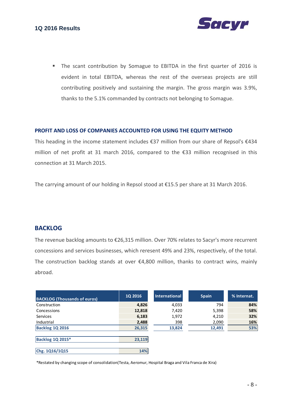

• The scant contribution by Somague to EBITDA in the first quarter of 2016 is evident in total EBITDA, whereas the rest of the overseas projects are still contributing positively and sustaining the margin. The gross margin was 3.9%, thanks to the 5.1% commanded by contracts not belonging to Somague.

#### **PROFIT AND LOSS OF COMPANIES ACCOUNTED FOR USING THE EQUITY METHOD**

This heading in the income statement includes €37 million from our share of Repsol's €434 million of net profit at 31 march 2016, compared to the €33 million recognised in this connection at 31 March 2015.

The carrying amount of our holding in Repsol stood at €15.5 per share at 31 March 2016.

## **BACKLOG**

The revenue backlog amounts to €26,315 million. Over 70% relates to Sacyr's more recurrent concessions and services businesses, which reresent 49% and 23%, respectively, of the total. The construction backlog stands at over  $\epsilon$ 4,800 million, thanks to contract wins, mainly abroad.

| <b>BACKLOG (Thousands of euros)</b> | <b>1Q 2016</b> | International | <b>Spain</b> | % Internat. |
|-------------------------------------|----------------|---------------|--------------|-------------|
| Construction                        | 4,826          | 4,033         | 794          | 84%         |
| Concessions                         | 12,818         | 7,420         | 5,398        | 58%         |
| <b>Services</b>                     | 6,183          | 1,972         | 4,210        | 32%         |
| Industrial                          | 2,488          | 398           | 2,090        | 16%         |
| Backlog 1Q 2016                     | 26,315         | 13,824        | 12,491       | 53%         |
|                                     |                |               |              |             |
| <b>Backlog 1Q 2015*</b>             | 23,119         |               |              |             |
|                                     |                |               |              |             |
| Chg. 1Q16/1Q15                      | 14%            |               |              |             |

\*Restated by changing scope of consolidation(Testa, Aeromur, Hospital Braga and Vila Franca de Xira)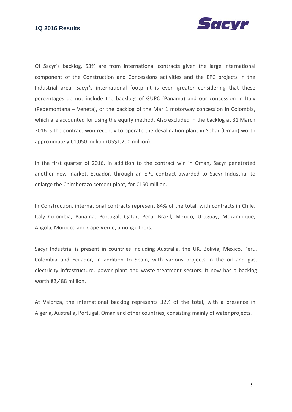## **1Q 2016 Results**



Of Sacyr's backlog, 53% are from international contracts given the large international component of the Construction and Concessions activities and the EPC projects in the Industrial area. Sacyr's international footprint is even greater considering that these percentages do not include the backlogs of GUPC (Panama) and our concession in Italy (Pedemontana – Veneta), or the backlog of the Mar 1 motorway concession in Colombia, which are accounted for using the equity method. Also excluded in the backlog at 31 March 2016 is the contract won recently to operate the desalination plant in Sohar (Oman) worth approximately €1,050 million (US\$1,200 million).

In the first quarter of 2016, in addition to the contract win in Oman, Sacyr penetrated another new market, Ecuador, through an EPC contract awarded to Sacyr Industrial to enlarge the Chimborazo cement plant, for €150 million.

In Construction, international contracts represent 84% of the total, with contracts in Chile, Italy Colombia, Panama, Portugal, Qatar, Peru, Brazil, Mexico, Uruguay, Mozambique, Angola, Morocco and Cape Verde, among others.

Sacyr Industrial is present in countries including Australia, the UK, Bolivia, Mexico, Peru, Colombia and Ecuador, in addition to Spain, with various projects in the oil and gas, electricity infrastructure, power plant and waste treatment sectors. It now has a backlog worth €2,488 million.

At Valoriza, the international backlog represents 32% of the total, with a presence in Algeria, Australia, Portugal, Oman and other countries, consisting mainly of water projects.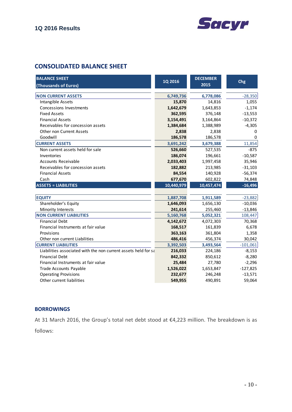

## **CONSOLIDATED BALANCE SHEET**

| <b>BALANCE SHEET</b>                                           | 1Q 2016    | <b>DECEMBER</b> | Chg        |
|----------------------------------------------------------------|------------|-----------------|------------|
| (Thousands of Euros)                                           |            | 2015            |            |
| <b>NON CURRENT ASSETS</b>                                      | 6,749,736  | 6,778,086       | $-28,350$  |
| Intangible Assets                                              | 15,870     | 14,816          | 1,055      |
| Concessions Investments                                        |            |                 | $-1,174$   |
| <b>Fixed Assets</b>                                            | 1,642,679  | 1,643,853       |            |
| <b>Financial Assets</b>                                        | 362,595    | 376,148         | $-13,553$  |
|                                                                | 3,154,491  | 3,164,864       | $-10,372$  |
| Receivables for concession assets                              | 1,384,684  | 1,388,989       | $-4,305$   |
| <b>Other non Current Assets</b>                                | 2,838      | 2,838           | 0          |
| Goodwill                                                       | 186,578    | 186,578         | $\Omega$   |
| <b>CURRENT ASSETS</b>                                          | 3,691,242  | 3,679,388       | 11,854     |
| Non current assets held for sale                               | 526,660    | 527,535         | $-875$     |
| Inventories                                                    | 186,074    | 196,661         | $-10,587$  |
| <b>Accounts Receivable</b>                                     | 2,033,403  | 1,997,458       | 35,946     |
| Receivables for concession assets                              | 182,882    | 213,985         | $-31,103$  |
| <b>Financial Assets</b>                                        | 84,554     | 140,928         | $-56,374$  |
| Cash                                                           | 677,670    | 602,822         | 74,848     |
| <b>ASSETS = LIABILITIES</b>                                    | 10,440,979 | 10,457,474      | $-16,496$  |
|                                                                |            |                 |            |
| <b>EQUITY</b>                                                  | 1,887,708  | 1,911,589       | $-23,882$  |
| Shareholder's Equity                                           | 1,646,093  | 1,656,130       | $-10,036$  |
| Minority Interests                                             | 241,614    | 255,460         | $-13,846$  |
| <b>NON CURRENT LIABILITIES</b>                                 | 5,160,768  | 5,052,321       | 108,447    |
| <b>Financial Debt</b>                                          | 4,142,672  | 4,072,303       | 70,368     |
| Financial Instruments at fair value                            | 168,517    | 161,839         | 6,678      |
| Provisions                                                     | 363,163    | 361,804         | 1,358      |
| Other non current Liabilities                                  | 486,416    | 456,374         | 30,042     |
| <b>CURRENT LIABILITIES</b>                                     | 3,392,503  | 3,493,564       | $-101,061$ |
| Liabilities associated with the non current assets held for sa | 216,033    | 224,186         | $-8,153$   |
| <b>Financial Debt</b>                                          | 842,332    | 850,612         | $-8,280$   |
| Financial Instruments at fair value                            | 25,484     | 27,780          | $-2,296$   |
| Trade Accounts Payable                                         | 1,526,022  | 1,653,847       | $-127,825$ |
| <b>Operating Provisions</b>                                    | 232,677    | 246,248         | $-13,571$  |
| Other current liabilities                                      | 549,955    | 490,891         | 59,064     |

## **BORROWINGS**

At 31 March 2016, the Group's total net debt stood at €4,223 million. The breakdown is as follows: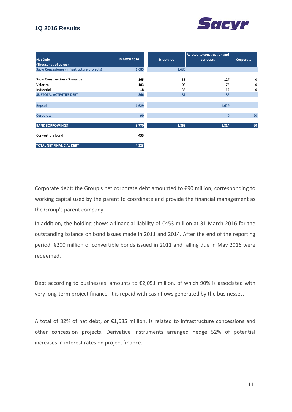## **1Q 2016 Results**



| <b>Net Debt</b>                                    | <b>MARCH 2016</b> | <b>Structured</b> | Related to construction and<br>contracts | Corporate   |
|----------------------------------------------------|-------------------|-------------------|------------------------------------------|-------------|
| (Thousands of euros)                               |                   |                   |                                          |             |
| <b>Sacyr Concesiones (Infrastructure projects)</b> | 1,685             | 1,685             |                                          |             |
|                                                    |                   |                   |                                          |             |
| Sacyr Construcción + Somague                       | 165               | 38                | 127                                      | $\mathbf 0$ |
| Valoriza                                           | 183               | 108               | 75                                       | 0           |
| Industrial                                         | 18                | 35                | $-17$                                    | 0           |
| <b>SUBTOTAL ACTIVITIES DEBT</b>                    | 366               | 181               | 185                                      |             |
|                                                    |                   |                   |                                          |             |
| <b>Repsol</b>                                      | 1,629             |                   | 1,629                                    |             |
|                                                    |                   |                   |                                          |             |
| Corporate                                          | 90                |                   | $\overline{0}$                           | 90          |
|                                                    |                   |                   |                                          |             |
| <b>BANK BORROWINGS</b>                             | 3,770             | 1,866             | 1,814                                    | 90          |
|                                                    |                   |                   |                                          |             |
| Convertible bond                                   | 453               |                   |                                          |             |
|                                                    |                   |                   |                                          |             |
| <b>TOTAL NET FINANCIAL DEBT</b>                    | 4,223             |                   |                                          |             |

Corporate debt: the Group's net corporate debt amounted to €90 million; corresponding to working capital used by the parent to coordinate and provide the financial management as the Group's parent company.

In addition, the holding shows a financial liability of €453 million at 31 March 2016 for the outstanding balance on bond issues made in 2011 and 2014. After the end of the reporting period, €200 million of convertible bonds issued in 2011 and falling due in May 2016 were redeemed.

Debt according to businesses: amounts to €2,051 million, of which 90% is associated with very long-term project finance. It is repaid with cash flows generated by the businesses.

A total of 82% of net debt, or €1,685 million, is related to infrastructure concessions and other concession projects. Derivative instruments arranged hedge 52% of potential increases in interest rates on project finance.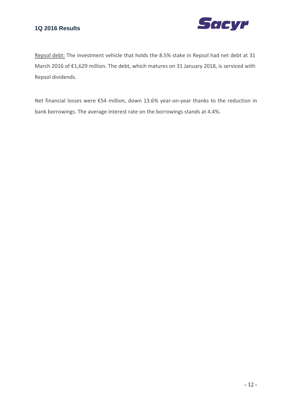

Repsol debt: The investment vehicle that holds the 8.5% stake in Repsol had net debt at 31 March 2016 of €1,629 million. The debt, which matures on 31 January 2018, is serviced with Repsol dividends.

Net financial losses were €54 million, down 13.6% year‐on‐year thanks to the reduction in bank borrowings. The average interest rate on the borrowings stands at 4.4%.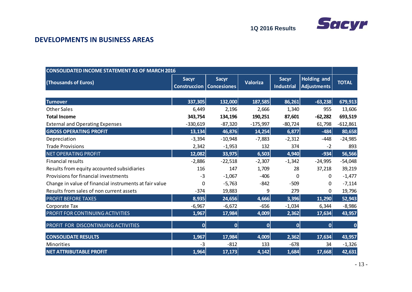

## **DEVELOPMENTS IN BUSINESS AREAS**

| <b>CONSOLIDATED INCOME STATEMENT AS OF MARCH 2016</b>  |                                     |                                    |                 |                                   |                                   |              |
|--------------------------------------------------------|-------------------------------------|------------------------------------|-----------------|-----------------------------------|-----------------------------------|--------------|
| (Thousands of Euros)                                   | <b>Sacyr</b><br><b>Construccion</b> | <b>Sacyr</b><br><b>Concesiones</b> | <b>Valoriza</b> | <b>Sacyr</b><br><b>Industrial</b> | Holding and<br><b>Adjustments</b> | <b>TOTAL</b> |
|                                                        |                                     |                                    |                 |                                   |                                   |              |
| <b>Turnover</b>                                        | 337,305                             | 132,000                            | 187,585         | 86,261                            | $-63,238$                         | 679,913      |
| <b>Other Sales</b>                                     | 6,449                               | 2,196                              | 2,666           | 1,340                             | 955                               | 13,606       |
| <b>Total Income</b>                                    | 343,754                             | 134,196                            | 190,251         | 87,601                            | $-62,282$                         | 693,519      |
| <b>External and Operating Expenses</b>                 | $-330,619$                          | $-87,320$                          | $-175,997$      | $-80,724$                         | 61,798                            | $-612,861$   |
| <b>GROSS OPERATING PROFIT</b>                          | 13,134                              | 46,876                             | 14,254          | 6,877                             | $-484$                            | 80,658       |
| Depreciation                                           | $-3,394$                            | $-10,948$                          | $-7,883$        | $-2,312$                          | $-448$                            | $-24,985$    |
| <b>Trade Provisions</b>                                | 2,342                               | $-1,953$                           | 132             | 374                               | $-2$                              | 893          |
| <b>NET OPERATING PROFIT</b>                            | 12,082                              | 33,975                             | 6,503           | 4,940                             | $-934$                            | 56,566       |
| <b>Financial results</b>                               | $-2,886$                            | $-22,518$                          | $-2,307$        | $-1,342$                          | $-24,995$                         | $-54,048$    |
| Results from equity accounted subsidiaries             | 116                                 | 147                                | 1,709           | 28                                | 37,218                            | 39,219       |
| Provisions for financial investments                   | $-3$                                | $-1,067$                           | $-406$          | 0                                 | 0                                 | $-1,477$     |
| Change in value of financial instruments at fair value | 0                                   | $-5,763$                           | $-842$          | $-509$                            | 0                                 | $-7,114$     |
| Results from sales of non current assets               | $-374$                              | 19,883                             | 9               | 279                               | 0                                 | 19,796       |
| <b>PROFIT BEFORE TAXES</b>                             | 8,935                               | 24,656                             | 4,666           | 3,396                             | 11,290                            | 52,943       |
| Corporate Tax                                          | $-6,967$                            | $-6,672$                           | $-656$          | $-1,034$                          | 6,344                             | $-8,986$     |
| PROFIT FOR CONTINUING ACTIVITIES                       | 1,967                               | 17,984                             | 4,009           | 2,362                             | 17,634                            | 43,957       |
| PROFIT FOR DISCONTINUING ACTIVITIES                    | 0                                   | 0                                  | $\overline{0}$  | 0                                 | 0                                 | $\bf{0}$     |
| <b>CONSOLIDATE RESULTS</b>                             | 1,967                               | 17,984                             | 4,009           | 2,362                             | 17,634                            | 43,957       |
| <b>Minorities</b>                                      | $-3$                                | $-812$                             | 133             | $-678$                            | 34                                | $-1,326$     |
| <b>NET ATTRIBUTABLE PROFIT</b>                         | 1,964                               | 17,173                             | 4,142           | 1,684                             | 17,668                            | 42,631       |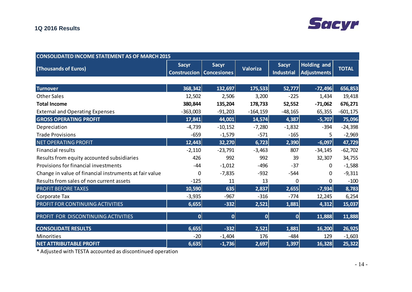| <b>CONSOLIDATED INCOME STATEMENT AS OF MARCH 2015</b>  |              |                                                   |                 |                                   |                                   |              |  |
|--------------------------------------------------------|--------------|---------------------------------------------------|-----------------|-----------------------------------|-----------------------------------|--------------|--|
| (Thousands of Euros)                                   | <b>Sacyr</b> | <b>Sacyr</b><br><b>Construccion   Concesiones</b> | <b>Valoriza</b> | <b>Sacyr</b><br><b>Industrial</b> | Holding and<br><b>Adjustments</b> | <b>TOTAL</b> |  |
|                                                        |              |                                                   |                 |                                   |                                   |              |  |
| <b>Turnover</b>                                        | 368,342      | 132,697                                           | 175,533         | 52,777                            | $-72,496$                         | 656,853      |  |
| <b>Other Sales</b>                                     | 12,502       | 2,506                                             | 3,200           | $-225$                            | 1,434                             | 19,418       |  |
| <b>Total Income</b>                                    | 380,844      | 135,204                                           | 178,733         | 52,552                            | $-71,062$                         | 676,271      |  |
| <b>External and Operating Expenses</b>                 | $-363,003$   | $-91,203$                                         | $-164, 159$     | $-48,165$                         | 65,355                            | $-601, 175$  |  |
| <b>GROSS OPERATING PROFIT</b>                          | 17,841       | 44,001                                            | 14,574          | 4,387                             | $-5,707$                          | 75,096       |  |
| Depreciation                                           | $-4,739$     | $-10,152$                                         | $-7,280$        | $-1,832$                          | $-394$                            | $-24,398$    |  |
| <b>Trade Provisions</b>                                | $-659$       | $-1,579$                                          | $-571$          | $-165$                            | 5                                 | $-2,969$     |  |
| <b>NET OPERATING PROFIT</b>                            | 12,443       | 32,270                                            | 6,723           | 2,390                             | $-6,097$                          | 47,729       |  |
| <b>Financial results</b>                               | $-2,110$     | $-23,791$                                         | $-3,463$        | 807                               | $-34,145$                         | $-62,702$    |  |
| Results from equity accounted subsidiaries             | 426          | 992                                               | 992             | 39                                | 32,307                            | 34,755       |  |
| Provisions for financial investments                   | $-44$        | $-1,012$                                          | $-496$          | $-37$                             | 0                                 | $-1,588$     |  |
| Change in value of financial instruments at fair value | 0            | $-7,835$                                          | $-932$          | $-544$                            | 0                                 | $-9,311$     |  |
| Results from sales of non current assets               | $-125$       | 11                                                | 13              | 0                                 | 0                                 | $-100$       |  |
| <b>PROFIT BEFORE TAXES</b>                             | 10,590       | 635                                               | 2,837           | 2,655                             | $-7,934$                          | 8,783        |  |
| Corporate Tax                                          | $-3,935$     | $-967$                                            | $-316$          | $-774$                            | 12,245                            | 6,254        |  |
| PROFIT FOR CONTINUING ACTIVITIES                       | 6,655        | $-332$                                            | 2,521           | 1,881                             | 4,312                             | 15,037       |  |
| PROFIT FOR DISCONTINUING ACTIVITIES                    | 0            | $\overline{0}$                                    | $\overline{0}$  | $\overline{0}$                    | 11,888                            | 11,888       |  |
| <b>CONSOLIDATE RESULTS</b>                             | 6,655        | $-332$                                            | 2,521           | 1,881                             | 16,200                            | 26,925       |  |
| Minorities                                             | $-20$        | $-1,404$                                          | 176             | $-484$                            | 129                               | $-1,603$     |  |
| <b>NET ATTRIBUTABLE PROFIT</b>                         | 6,635        | $-1,736$                                          | 2,697           | 1,397                             | 16,328                            | 25,322       |  |

\* Adjusted with TESTA accounted as discontinued operation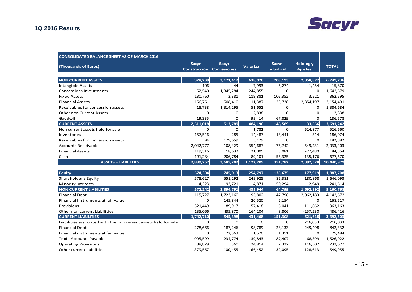# **Sacyr**

## **1Q 2016 Results**

| <b>CONSOLIDATED BALANCE SHEET AS OF MARCH 2016</b>               |              |                                                   |                 |                                   |                                    |              |
|------------------------------------------------------------------|--------------|---------------------------------------------------|-----------------|-----------------------------------|------------------------------------|--------------|
| (Thousands of Euros)                                             | <b>Sacyr</b> | <b>Sacyr</b><br><b>Construcción   Concesiones</b> | <b>Valoriza</b> | <b>Sacyr</b><br><b>Industrial</b> | <b>Holding y</b><br><b>Ajustes</b> | <b>TOTAL</b> |
|                                                                  |              |                                                   |                 |                                   |                                    |              |
| <b>NON CURRENT ASSETS</b>                                        | 378,239      | 3,171,412                                         | 638,020         | 203,193                           | 2,358,872                          | 6,749,736    |
| <b>Intangible Assets</b>                                         | 106          | 44                                                | 7,993           | 6,274                             | 1,454                              | 15,870       |
| <b>Concessions Investments</b>                                   | 52,540       | 1,345,284                                         | 244,855         | 0                                 | 0                                  | 1,642,679    |
| <b>Fixed Assets</b>                                              | 130,760      | 3,381                                             | 119,881         | 105,352                           | 3,221                              | 362,595      |
| <b>Financial Assets</b>                                          | 156,761      | 508,410                                           | 111,387         | 23,738                            | 2,354,197                          | 3,154,491    |
| Receivables for concession assets                                | 18,738       | 1,314,295                                         | 51,652          | 0                                 | 0                                  | 1,384,684    |
| <b>Other non Current Assets</b>                                  | 0            | 0                                                 | 2,838           | $\Omega$                          | 0                                  | 2,838        |
| Goodwill                                                         | 19,335       | 0                                                 | 99,414          | 67,829                            | 0                                  | 186,578      |
| <b>CURRENT ASSETS</b>                                            | 2,511,018    | 513,789                                           | 484,190         | 148,589                           | 33,656                             | 3,691,242    |
| Non current assets held for sale                                 | $\mathbf 0$  | $\mathbf 0$                                       | 1,782           | $\mathbf 0$                       | 524,877                            | 526,660      |
| Inventories                                                      | 157,546      | 285                                               | 14,487          | 13,441                            | 314                                | 186,074      |
| Receivables for concession assets                                | 94           | 179,659                                           | 3,129           | $\mathbf 0$                       | $\mathbf 0$                        | 182,882      |
| <b>Accounts Receivable</b>                                       | 2,042,777    | 108,429                                           | 354,687         | 76,742                            | $-549,231$                         | 2,033,403    |
| <b>Financial Assets</b>                                          | 119,316      | 18,632                                            | 21,005          | 3,081                             | $-77,480$                          | 84,554       |
| Cash                                                             | 191,284      | 206,784                                           | 89,101          | 55,325                            | 135,176                            | 677,670      |
| <b>ASSETS = LIABILITIES</b>                                      | 2,889,257    | 3,685,202                                         | 1,122,209       | 351,782                           | 2,392,528                          | 10,440,979   |
|                                                                  |              |                                                   |                 |                                   |                                    |              |
| <b>Equity</b>                                                    | 574,304      | 745,013                                           | 254,797         | 135,675                           | 177,919                            | 1,887,708    |
| Shareholder's Equity                                             | 578,627      | 551,292                                           | 249,925         | 85,381                            | 180,868                            | 1,646,093    |
| <b>Minority Interests</b>                                        | $-4,323$     | 193,721                                           | 4,871           | 50,294                            | $-2,949$                           | 241,614      |
| <b>NON CURRENT LIABILITIES</b>                                   | 572,242      | 2,394,791                                         | 435,944         | 64,799                            | 1,692,992                          | 5,160,768    |
| <b>Financial Debt</b>                                            | 115,727      | 1,723,160                                         | 193,802         | 47,798                            | 2,062,183                          | 4, 142, 672  |
| Financial Instruments at fair value                              | $\mathbf 0$  | 145,844                                           | 20,520          | 2,154                             | $\Omega$                           | 168,517      |
| Provisions                                                       | 321,449      | 89,917                                            | 57,418          | 6,041                             | $-111,662$                         | 363,163      |
| Other non current Liabilities                                    | 135,066      | 435,870                                           | 164,204         | 8,806                             | $-257,530$                         | 486,416      |
| <b>CURRENT LIABILITIES</b>                                       | 1,742,710    | 545,398                                           | 431,468         | 151,308                           | 521,618                            | 3,392,503    |
| Liabilities associated with the non current assets held for sale | $\mathbf 0$  | $\mathbf 0$                                       | $\mathbf 0$     | $\mathbf 0$                       | 216,033                            | 216,033      |
| <b>Financial Debt</b>                                            | 278,666      | 187,246                                           | 98,789          | 28,133                            | 249,498                            | 842,332      |
| Financial instruments at fair value                              | 0            | 22,563                                            | 1,570           | 1,351                             | 0                                  | 25,484       |
| <b>Trade Accounts Payable</b>                                    | 995,599      | 234,774                                           | 139,843         | 87,407                            | 68,399                             | 1,526,022    |
| <b>Operating Provisions</b>                                      | 88,879       | 360                                               | 24,814          | 2,322                             | 116,302                            | 232,677      |
| Other current liabilities                                        | 379,567      | 100,455                                           | 166,452         | 32,095                            | $-128,613$                         | 549,955      |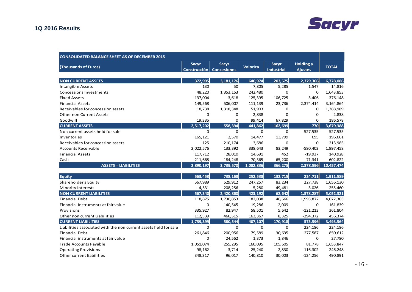# **Sacyr**

## **1Q 2016 Results**

| <b>CONSOLIDATED BALANCE SHEET AS OF DECEMBER 2015</b>            |                              |                                    |                 |                                   |                                    |              |
|------------------------------------------------------------------|------------------------------|------------------------------------|-----------------|-----------------------------------|------------------------------------|--------------|
| (Thousands of Euros)                                             | <b>Sacyr</b><br>Construcción | <b>Sacyr</b><br><b>Concesiones</b> | <b>Valoriza</b> | <b>Sacyr</b><br><b>Industrial</b> | <b>Holding y</b><br><b>Ajustes</b> | <b>TOTAL</b> |
| <b>NON CURRENT ASSETS</b>                                        | 372,995                      | 3, 181, 176                        | 640,974         | 203,575                           | 2,379,366                          | 6,778,086    |
| Intangible Assets                                                | 130                          | 50                                 | 7,805           | 5,285                             | 1,547                              | 14,816       |
| <b>Concessions Investments</b>                                   | 48,220                       | 1,353,153                          | 242,480         | $\mathbf 0$                       | $\mathbf 0$                        | 1,643,853    |
| <b>Fixed Assets</b>                                              | 137,004                      | 3,618                              | 125,395         | 106,725                           | 3,406                              | 376,148      |
| <b>Financial Assets</b>                                          | 149,568                      | 506,007                            | 111,139         | 23,736                            | 2,374,414                          | 3,164,864    |
| Receivables for concession assets                                | 18,738                       | 1,318,348                          | 51,903          | 0                                 | 0                                  | 1,388,989    |
| <b>Other non Current Assets</b>                                  | 0                            | 0                                  | 2,838           | 0                                 | 0                                  | 2,838        |
| Goodwill                                                         | 19,335                       | 0                                  | 99,414          | 67,829                            | $\mathbf 0$                        | 186,578      |
| <b>CURRENT ASSETS</b>                                            | 2,517,202                    | 558,394                            | 441,862         | 162,699                           | $-770$                             | 3,679,388    |
| Non current assets held for sale                                 | $\mathbf 0$                  | $\mathbf 0$                        | $\mathbf 0$     | $\mathbf 0$                       | 527,535                            | 527,535      |
| Inventories                                                      | 165,121                      | 2,570                              | 14,477          | 13,799                            | 695                                | 196,661      |
| Receivables for concession assets                                | 125                          | 210,174                            | 3,686           | 0                                 | $\mathbf 0$                        | 213,985      |
| <b>Accounts Receivable</b>                                       | 2,022,576                    | 133,392                            | 338,643         | 83,249                            | $-580,403$                         | 1,997,458    |
| <b>Financial Assets</b>                                          | 117,712                      | 28,010                             | 14,691          | 452                               | $-19,937$                          | 140,928      |
| Cash                                                             | 211,668                      | 184,248                            | 70,365          | 65,200                            | 71,341                             | 602,822      |
| <b>ASSETS = LIABILITIES</b>                                      | 2,890,197                    | 3,739,570                          | 1,082,836       | 366,275                           | 2,378,596                          | 10,457,474   |
| <b>Equity</b>                                                    | 563,458                      | 738,168                            | 252,538         | 132,715                           | 224,711                            | 1,911,589    |
| Shareholder's Equity                                             | 567,989                      | 529,912                            | 247,257         | 83,234                            | 227,738                            | 1,656,130    |
| Minority Interests                                               | $-4,531$                     | 208,256                            | 5,280           | 49,481                            | $-3,026$                           | 255,460      |
| <b>NON CURRENT LIABILITIES</b>                                   | 567,340                      | 2,420,860                          | 423.192         | 62,642                            | 1,578,287                          | 5,052,321    |
| <b>Financial Debt</b>                                            | 118,875                      | 1,730,853                          | 182,038         | 46,666                            | 1,993,872                          | 4,072,303    |
| Financial Instruments at fair value                              | $\mathbf 0$                  | 140,545                            | 19,286          | 2,009                             | $\mathbf 0$                        | 161,839      |
| Provisions                                                       | 335,927                      | 82,947                             | 58,501          | 5,642                             | $-121,213$                         | 361,804      |
| Other non current Liabilities                                    | 112,539                      | 466,515                            | 163,367         | 8,325                             | $-294,372$                         | 456,374      |
| <b>CURRENT LIABILITIES</b>                                       | 1,759,399                    | 580.544                            | 407,107         | 170,918                           | 575,596                            | 3,493,564    |
| Liabilities associated with the non current assets held for sale | $\Omega$                     | $\mathbf 0$                        | $\Omega$        | $\mathbf 0$                       | 224,186                            | 224,186      |
| <b>Financial Debt</b>                                            | 261,846                      | 200,956                            | 79,589          | 30,635                            | 277,587                            | 850,612      |
| Financial instruments at fair value                              | 0                            | 24,562                             | 1,373           | 1,846                             | $\mathbf 0$                        | 27,780       |
| <b>Trade Accounts Payable</b>                                    | 1,051,074                    | 255,295                            | 160,095         | 105,605                           | 81,778                             | 1,653,847    |
| <b>Operating Provisions</b>                                      | 98,162                       | 3,714                              | 25,240          | 2,830                             | 116,302                            | 246,248      |
| Other current liabilities                                        | 348,317                      | 96,017                             | 140,810         | 30,003                            | $-124,256$                         | 490,891      |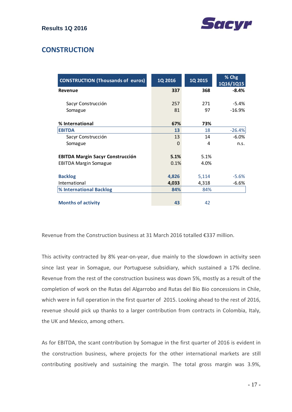

## **CONSTRUCTION**

| <b>CONSTRUCTION (Thousands of euros)</b> | 1Q 2016 | 1Q 2015 | % Chg<br>1Q16/1Q15 |
|------------------------------------------|---------|---------|--------------------|
| Revenue                                  | 337     | 368     | $-8.4%$            |
| Sacyr Construcción                       | 257     | 271     | $-5.4\%$           |
| Somague                                  | 81      | 97      | $-16.9%$           |
| % International                          | 67%     | 73%     |                    |
| <b>EBITDA</b>                            | 13      | 18      | $-26.4%$           |
| Sacyr Construcción                       | 13      | 14      | $-6.0%$            |
| Somague                                  | 0       | 4       | n.s.               |
| <b>EBITDA Margin Sacyr Construcción</b>  | 5.1%    | 5.1%    |                    |
| <b>EBITDA Margin Somague</b>             | 0.1%    | 4.0%    |                    |
| <b>Backlog</b>                           | 4,826   | 5,114   | $-5.6%$            |
| International                            | 4,033   | 4,318   | $-6.6%$            |
| % International Backlog                  | 84%     | 84%     |                    |
|                                          |         |         |                    |
| <b>Months of activity</b>                | 43      | 42      |                    |

Revenue from the Construction business at 31 March 2016 totalled €337 million.

This activity contracted by 8% year-on-year, due mainly to the slowdown in activity seen since last year in Somague, our Portuguese subsidiary, which sustained a 17% decline. Revenue from the rest of the construction business was down 5%, mostly as a result of the completion of work on the Rutas del Algarrobo and Rutas del Bio Bio concessions in Chile, which were in full operation in the first quarter of 2015. Looking ahead to the rest of 2016, revenue should pick up thanks to a larger contribution from contracts in Colombia, Italy, the UK and Mexico, among others.

As for EBITDA, the scant contribution by Somague in the first quarter of 2016 is evident in the construction business, where projects for the other international markets are still contributing positively and sustaining the margin. The total gross margin was 3.9%,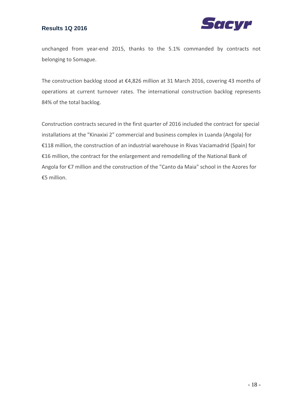

unchanged from year-end 2015, thanks to the 5.1% commanded by contracts not belonging to Somague.

The construction backlog stood at €4,826 million at 31 March 2016, covering 43 months of operations at current turnover rates. The international construction backlog represents 84% of the total backlog.

Construction contracts secured in the first quarter of 2016 included the contract for special installations at the "Kinaxixi 2" commercial and business complex in Luanda (Angola) for €118 million, the construction of an industrial warehouse in Rivas Vaciamadrid (Spain) for €16 million, the contract for the enlargement and remodelling of the National Bank of Angola for €7 million and the construction of the "Canto da Maia" school in the Azores for €5 million.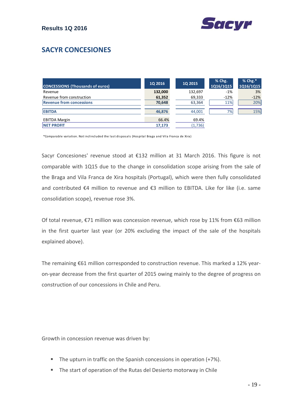

# **SACYR CONCESIONES**

| <b>CONCESSIONS (Thousands of euros)</b> | <b>1Q 2016</b> | <b>1Q 2015</b> | $%$ Chg.<br>1Q16/1Q15 | $%$ Chg. $*$<br>1Q16/1Q15 |
|-----------------------------------------|----------------|----------------|-----------------------|---------------------------|
| Revenue                                 | 132,000        | 132,697        | $-1%$                 | 3%                        |
| Revenue from construction               | 61,352         | 69,333         | $-12%$                | $-12%$                    |
| <b>Revenue from concessions</b>         | 70,648         | 63,364         | 11%                   | 20%                       |
| <b>EBITDA</b>                           | 46,876         | 44,001         | 7%                    | 15%                       |
| <b>EBITDA Margin</b>                    | 66.4%          | 69.4%          |                       |                           |
| <b>INET PROFIT</b>                      | 17.173         | (1,736)        |                       |                           |

\*Compa rable va ria tion. Not inclincluded the last disposals (Hos pi tal Braga and Vila Franca de Xi ra )

Sacyr Concesiones' revenue stood at €132 million at 31 March 2016. This figure is not comparable with 1Q15 due to the change in consolidation scope arising from the sale of the Braga and Vila Franca de Xira hospitals (Portugal), which were then fully consolidated and contributed €4 million to revenue and €3 million to EBITDA. Like for like (i.e. same consolidation scope), revenue rose 3%.

Of total revenue, €71 million was concession revenue, which rose by 11% from €63 million in the first quarter last year (or 20% excluding the impact of the sale of the hospitals explained above).

The remaining €61 million corresponded to construction revenue. This marked a 12% yearon‐year decrease from the first quarter of 2015 owing mainly to the degree of progress on construction of our concessions in Chile and Peru.

Growth in concession revenue was driven by:

- **The upturn in traffic on the Spanish concessions in operation (+7%).**
- The start of operation of the Rutas del Desierto motorway in Chile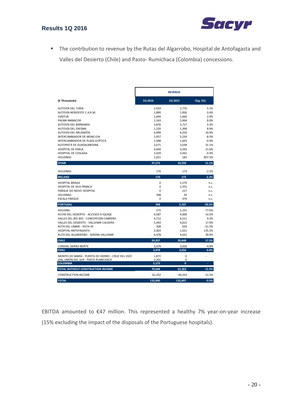

 The contrbution to revenue by the Rutas del Algarrobo, Hospital de Antofagasta and Valles del Desierto (Chile) and Pasto‐ Rumichaca (Colombia) concessions.

|                                                    | <b>REVENUE</b> |         |                   |
|----------------------------------------------------|----------------|---------|-------------------|
| (€ Thousands)                                      | 1Q 2016        | 1Q 2015 | Chg. (%)          |
| AUTOVÍA DEL TURIA                                  | 2,919          | 2,776   | 5.1%              |
| AUTOVÍA NOROESTE C.A.R.M.                          | 1,890          | 1,956   | $-3.4%$           |
| <b>VIASTUR</b>                                     | 1,694          | 1,660   | 2.0%              |
| PALMA MANACOR                                      | 2,163          | 2,004   | 8.0%              |
| AUTOVÍA DEL BARBANZA                               | 3,876          | 3,717   | 4.3%              |
| AUTOVÍA DEL ERESMA                                 | 1,520          | 1,396   | 8.9%              |
| AUTOVÍA DEL ARLANZÓN                               | 6,909          | 6,250   | 10.6%             |
| INTERCAMBIADOR DE MONCLOA                          | 2,957          | 3,234   | $-8.5%$           |
| INTERCAMBIADOR DE PLAZA ELÍPTICA                   | 1,588          | 1,603   | $-0.9%$           |
| AUTOPISTA DE GUADALMEDINA                          | 2,671          | 2,038   | 31.1%             |
| <b>HOSPITAL DE PARLA</b>                           | 4,004          | 3,292   | 21.6%             |
| HOSPITAL DE COSLADA<br><b>HOLDINGS</b>             | 3,429          | 3,442   | $-0.4%$<br>807.5% |
|                                                    | 1,651          | 182     |                   |
| <b>SPAIN</b>                                       | 37,272         | 33,550  | 11.1%             |
| <b>HOLDINGS</b>                                    | 170            | 173     | $-2.2%$           |
| <b>IRELAND</b>                                     | 170            | 173     | $-2.2%$           |
| <b>HOSPITAL BRAGA</b>                              | 0              | 2,270   | n.s.              |
| HOSPITAL DE VILA FRANCA                            | 0              | 2,355   | n.s.              |
| PARQUE DO NOVO HOSPITAL                            | 0              | 217     | n.s.              |
| <b>HOLDINGS</b>                                    | 348            | 20      | n.s.              |
| <b>ESCALA PARQUE</b>                               | 0              | 474     | n.s.              |
| <b>PORTUGAL</b>                                    | 348            | 5,337   | $-93.5%$          |
| <b>HOLDING</b>                                     | 275            | 1,231   | $-77.6%$          |
| RUTAS DEL DESIERTO - ACCESOS A IQUIQE              | 4,587          | 4,006   | 14.5%             |
| VALLES DEL BIO BIO - CONCEPCIÓN CABRERO            | 4,712          | 4,511   | 4.5%              |
| VALLES DEL DESIERTO - VALLENAR CALDERA             | 5,443          | 4,615   | 17.9%             |
| RUTA DEL LIMARI - RUTA 43                          | 308            | 634     | $-51.5%$          |
| <b>HOSPITAL ANTOFAGASTA</b>                        | 2,403          | 1,021   | 135.2%            |
| RUTA DEL ALGARROBO - SERENA VALLENAR               | 6,478          | 4,631   | 39.9%             |
| <b>CHILE</b>                                       | 24,207         | 20,648  | 17.2%             |
| <b>CONVIAL SIERRA NORTE</b>                        | 3,479          | 3,656   | $-4.8%$           |
| <b>PERU</b>                                        | 3,479          | 3,656   | $-4.8%$           |
| MONTES DE MARÍA - PUERTA DE HIERRO - CRUZ DEL VIZO | 1.872          | 0       |                   |
| VIAL UNIÓN DEL SUR - PASTO RUMICHACA               | 3,301          | 0       |                   |
| <b>COLOMBIA</b>                                    | 5,173          | 0       | ÷.                |
| TOTAL WITHOUT CONSTRUCTION INCOME                  | 70,648         | 63,364  | 11.5%             |
| <b>CONSTRUCTION INCOME</b>                         | 61,352         | 69,333  | $-11.5%$          |
| <b>TOTAL</b>                                       | 132,000        | 132,697 | $-0.5%$           |

EBITDA amounted to €47 million. This represented a healthy 7% year‐on‐year increase (15% excluding the impact of the disposals of the Portuguese hospitals).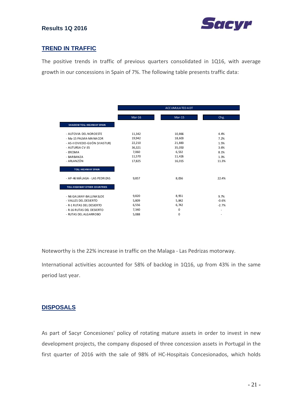

## **TREND IN TRAFFIC**

The positive trends in traffic of previous quarters consolidated in 1Q16, with average growth in our concessions in Spain of 7%. The following table presents traffic data:

|                                  |        | ACCUMULATED A DT |         |
|----------------------------------|--------|------------------|---------|
|                                  | Mar-16 | $Mar-15$         | Chg.    |
| <b>SHADOW TOLL HIGHWAY SPAIN</b> |        |                  |         |
| - AUTOVIA DEL NOROESTE           | 11,342 | 10,866           | 4.4%    |
| - Ma-15 PALMA-MA NA COR          | 19,942 | 18,603           | 7.2%    |
| - AS-II OVIEDO-GIJÓN (VIASTUR)   | 22,210 | 21,883           | 1.5%    |
| - AUTURSA CV-35                  | 36,321 | 35,050           | 3.6%    |
| - ERESMA                         | 7,060  | 6,532            | 8.1%    |
| - BARBANZA                       | 11,570 | 11,426           | 1.3%    |
| - ARLANZÓN                       | 17,825 | 16,015           | 11.3%   |
| <b>TOLL HIGHWAY SPAIN</b>        |        |                  |         |
| - AP-46 MÁLAGA - LAS PEDRIZAS    | 9,857  | 8,056            | 22.4%   |
| TOLL HIGH WAY OTHER COUNTRIES    |        |                  |         |
| - N6 GA LWAY-BA LLINA SLOE       | 9,820  | 8,951            | 9.7%    |
| - VALLES DEL DESIERTO            | 5,809  | 5,842            | $-0.6%$ |
| - R-1 RUTAS DEL DESIERTO         | 6,556  | 6,742            | $-2.7%$ |
| - R-16 RUTAS DEL DESIERTO        | 7,340  | $\mathbf 0$      | ٠       |
| - RUTAS DEL ALGARROBO            | 5,088  | 0                | ٠       |

Noteworthy is the 22% increase in traffic on the Malaga ‐ Las Pedrizas motorway.

International activities accounted for 58% of backlog in 1Q16, up from 43% in the same period last year.

## **DISPOSALS**

As part of Sacyr Concesiones' policy of rotating mature assets in order to invest in new development projects, the company disposed of three concession assets in Portugal in the first quarter of 2016 with the sale of 98% of HC‐Hospitais Concesionados, which holds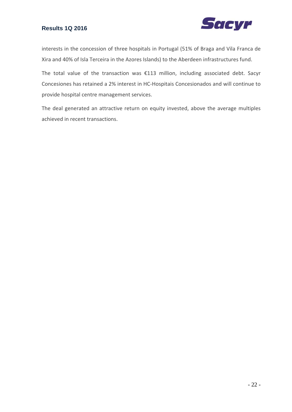

interests in the concession of three hospitals in Portugal (51% of Braga and Vila Franca de Xira and 40% of Isla Terceira in the Azores Islands) to the Aberdeen infrastructures fund.

The total value of the transaction was €113 million, including associated debt. Sacyr Concesiones has retained a 2% interest in HC‐Hospitais Concesionados and will continue to provide hospital centre management services.

The deal generated an attractive return on equity invested, above the average multiples achieved in recent transactions.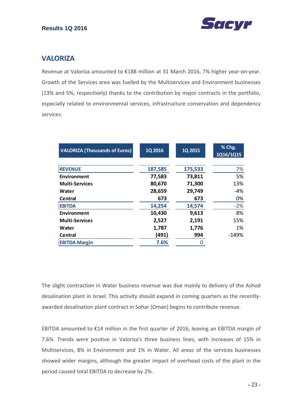

## **VALORIZA**

Revenue at Valoriza amounted to €188 million at 31 March 2016, 7% higher year‐on‐year. Growth of the Services area was fuelled by the Multiservices and Environment businesses (13% and 5%, respectively) thanks to the contribution by major contracts in the portfolio, especially related to environmental services, infrastructure conservation and dependency services.

| <b>VALORIZA (Thousands of Euros)</b> | 1Q 2016 | 1Q 2015 | % Chg.<br>1Q16/1Q15 |
|--------------------------------------|---------|---------|---------------------|
| <b>REVENUE</b>                       | 187,585 | 175,533 | 7%                  |
| Environment                          | 77,583  | 73,811  | 5%                  |
| <b>Multi-Services</b>                | 80,670  | 71,300  | 13%                 |
| Water                                | 28,659  | 29,749  | -4%                 |
| <b>Central</b>                       | 673     | 673     | 0%                  |
| <b>EBITDA</b>                        | 14,254  | 14,574  | $-2%$               |
| Environment                          | 10,430  | 9,613   | 8%                  |
| <b>Multi-Services</b>                | 2,527   | 2,191   | 15%                 |
| Water                                | 1,787   | 1,776   | 1%                  |
| Central                              | (491)   | 994     | $-149%$             |
| <b>EBITDA Margin</b>                 | 7.6%    |         |                     |

The slight contraction in Water business revenue was due mainly to delivery of the Ashod desalination plant in Israel. This activity should expand in coming quarters as the recently‐ awarded desalination plant contract in Sohar (Oman) begins to contribute revenue.

EBITDA amounted to €14 million in the first quarter of 2016, leaving an EBITDA margin of 7.6%. Trends were positive in Valoriza's three business lines, with increases of 15% in Multiservices, 8% in Environment and 1% in Water. All areas of the services businesses showed wider margins, although the greater impact of overhead costs of the plant in the period caused total EBITDA to decrease by 2%.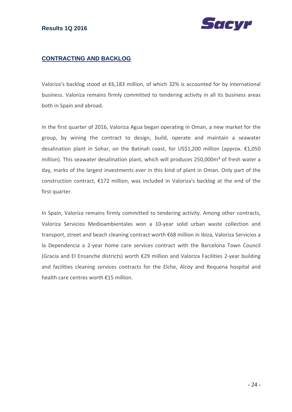

## **CONTRACTING AND BACKLOG**

Valoriza's backlog stood at €6,183 million, of which 32% is accounted for by international business. Valoriza remains firmly committed to tendering activity in all its business areas both in Spain and abroad.

In the first quarter of 2016, Valoriza Agua began operating in Oman, a new market for the group, by wining the contract to design, build, operate and maintain a seawater desalination plant in Sohar, on the Batinah coast, for US\$1,200 million (approx. €1,050 million). This seawater desalination plant, which will produces 250,000m<sup>3</sup> of fresh water a day, marks of the largest investments ever in this kind of plant in Oman. Only part of the construction contract, €172 million, was included in Valoriza's backlog at the end of the first quarter.

In Spain, Valoriza remains firmly committed to tendering activity. Among other contracts, Valoriza Servicios Medioambientales won a 10‐year solid urban waste collection and transport, street and beach cleaning contract worth €68 million in Ibiza, Valoriza Servicios a la Dependencia a 2‐year home care services contract with the Barcelona Town Council (Gracia and El Ensanche districts) worth €29 million and Valoriza Facilities 2‐year building and facilities cleaning services contracts for the Elche, Alcoy and Requena hospital and health care centres worth €15 million.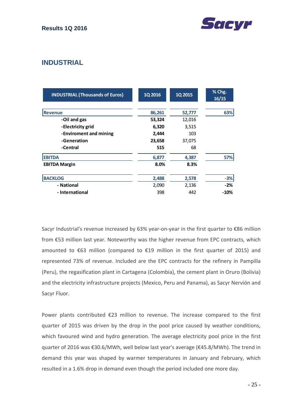



## **INDUSTRIAL**

| <b>INDUSTRIAL (Thousands of Euros)</b> | 1Q 2016 | 1Q 2015 | % Chg.<br>16/15 |
|----------------------------------------|---------|---------|-----------------|
| <b>Revenue</b>                         | 86,261  | 52,777  | 63%             |
| -Oil and gas                           | 53,324  | 12,016  |                 |
| -Electricity grid                      | 6,320   | 3,515   |                 |
| -Enviroment and mining                 | 2,444   | 103     |                 |
| -Generation                            | 23,658  | 37,075  |                 |
| -Central                               | 515     | 68      |                 |
| <b>EBITDA</b>                          | 6,877   | 4,387   | 57%             |
| <b>EBITDA Margin</b>                   | 8.0%    | 8.3%    |                 |
| <b>BACKLOG</b>                         | 2,488   | 2,578   | $-3%$           |
| - National                             | 2,090   | 2,136   | $-2%$           |
| - International                        | 398     | 442     | $-10%$          |

Sacyr Industrial's revenue increased by 63% year-on-year in the first quarter to €86 million from €53 million last year. Noteworthy was the higher revenue from EPC contracts, which amounted to €63 million (compared to €19 million in the first quarter of 2015) and represented 73% of revenue. Included are the EPC contracts for the refinery in Pampilla (Peru), the regasification plant in Cartagena (Colombia), the cement plant in Oruro (Bolivia) and the electricity infrastructure projects (Mexico, Peru and Panama), as Sacyr Nervión and Sacyr Fluor.

Power plants contributed €23 million to revenue. The increase compared to the first quarter of 2015 was driven by the drop in the pool price caused by weather conditions, which favoured wind and hydro generation. The average electricity pool price in the first quarter of 2016 was €30.6/MWh, well below last year's average (€45.8/MWh). The trend in demand this year was shaped by warmer temperatures in January and February, which resulted in a 1.6% drop in demand even though the period included one more day.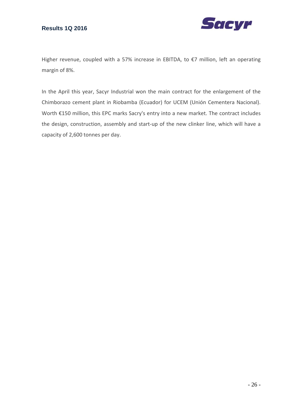

Higher revenue, coupled with a 57% increase in EBITDA, to €7 million, left an operating margin of 8%.

In the April this year, Sacyr Industrial won the main contract for the enlargement of the Chimborazo cement plant in Riobamba (Ecuador) for UCEM (Unión Cementera Nacional). Worth €150 million, this EPC marks Sacry's entry into a new market. The contract includes the design, construction, assembly and start‐up of the new clinker line, which will have a capacity of 2,600 tonnes per day.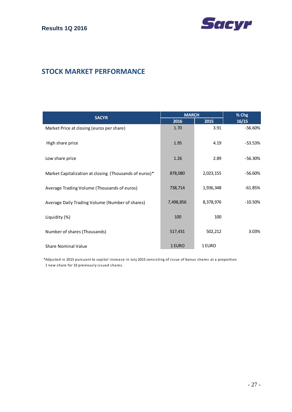

## **STOCK MARKET PERFORMANCE**

|                                                        | <b>MARCH</b> |           | % Chg     |  |
|--------------------------------------------------------|--------------|-----------|-----------|--|
| <b>SACYR</b>                                           | 2016         | 2015      | 16/15     |  |
| Market Price at closing (euros per share)              | 1.70         | 3.91      | $-56.60%$ |  |
| High share price                                       | 1.95         | 4.19      | $-53.53%$ |  |
| Low share price                                        | 1.26         | 2.89      | $-56.30%$ |  |
| Market Capitalization at closing (Thousands of euros)* | 878,080      | 2,023,155 | $-56.60%$ |  |
| Average Trading Volume (Thousands of euros)            | 738,714      | 1,936,348 | $-61.85%$ |  |
| Average Daily Trading Volume (Number of shares)        | 7,498,856    | 8,378,976 | $-10.50%$ |  |
| Liquidity (%)                                          | 100          | 100       |           |  |
| Number of shares (Thousands)                           | 517,431      | 502,212   | 3.03%     |  |
| <b>Share Nominal Value</b>                             | 1 EURO       | 1 EURO    |           |  |

\*Adjusted in 2015 pursuant to capital increase in July 2015 consisting of issue of bonus shares at a proportion 1 new share for 33 previously issued shares.